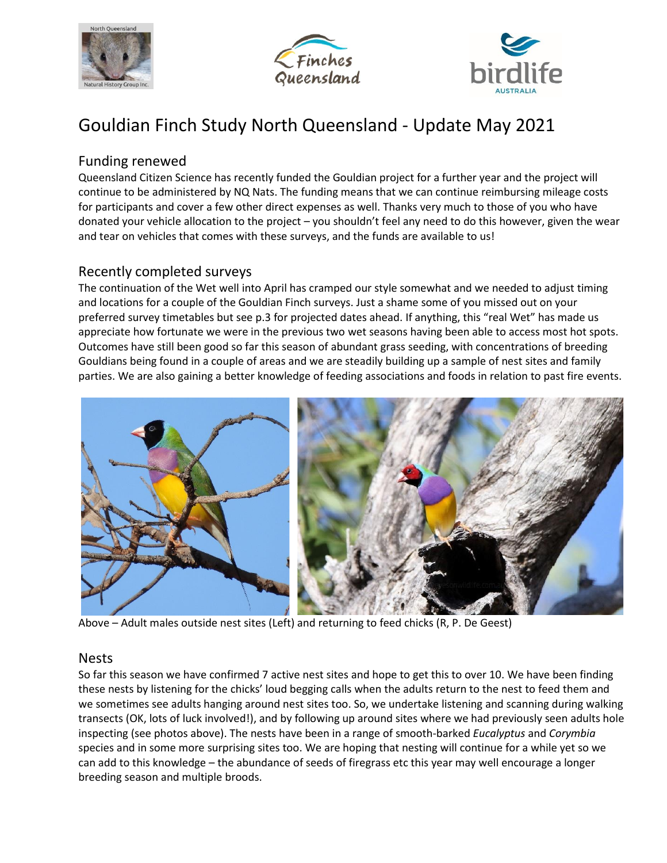





# Gouldian Finch Study North Queensland - Update May 2021

## Funding renewed

Queensland Citizen Science has recently funded the Gouldian project for a further year and the project will continue to be administered by NQ Nats. The funding means that we can continue reimbursing mileage costs for participants and cover a few other direct expenses as well. Thanks very much to those of you who have donated your vehicle allocation to the project – you shouldn't feel any need to do this however, given the wear and tear on vehicles that comes with these surveys, and the funds are available to us!

## Recently completed surveys

The continuation of the Wet well into April has cramped our style somewhat and we needed to adjust timing and locations for a couple of the Gouldian Finch surveys. Just a shame some of you missed out on your preferred survey timetables but see p.3 for projected dates ahead. If anything, this "real Wet" has made us appreciate how fortunate we were in the previous two wet seasons having been able to access most hot spots. Outcomes have still been good so far this season of abundant grass seeding, with concentrations of breeding Gouldians being found in a couple of areas and we are steadily building up a sample of nest sites and family parties. We are also gaining a better knowledge of feeding associations and foods in relation to past fire events.



Above – Adult males outside nest sites (Left) and returning to feed chicks (R, P. De Geest)

#### Nests

So far this season we have confirmed 7 active nest sites and hope to get this to over 10. We have been finding these nests by listening for the chicks' loud begging calls when the adults return to the nest to feed them and we sometimes see adults hanging around nest sites too. So, we undertake listening and scanning during walking transects (OK, lots of luck involved!), and by following up around sites where we had previously seen adults hole inspecting (see photos above). The nests have been in a range of smooth-barked *Eucalyptus* and *Corymbia*  species and in some more surprising sites too. We are hoping that nesting will continue for a while yet so we can add to this knowledge – the abundance of seeds of firegrass etc this year may well encourage a longer breeding season and multiple broods.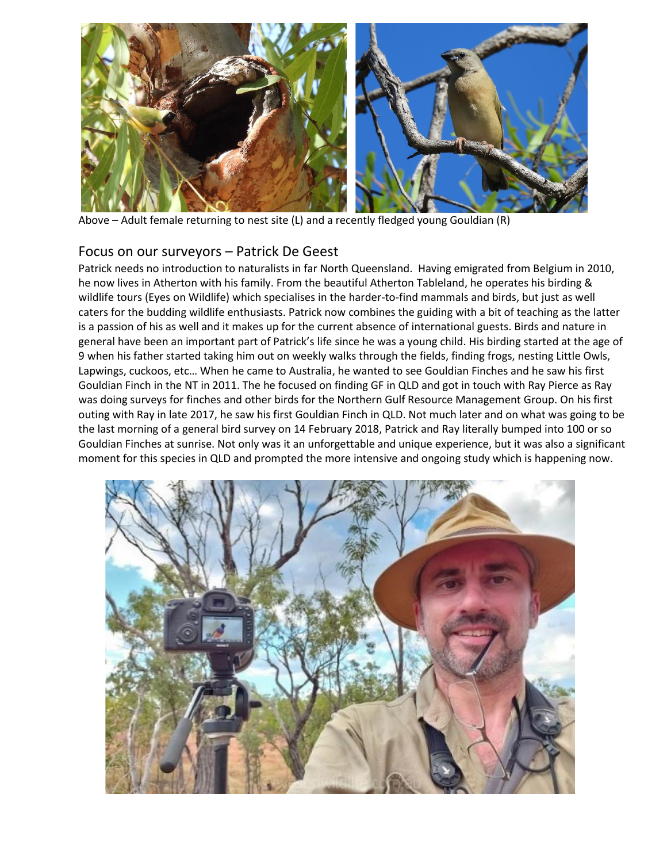

Above – Adult female returning to nest site (L) and a recently fledged young Gouldian (R)

#### Focus on our surveyors – Patrick De Geest

Patrick needs no introduction to naturalists in far North Queensland. Having emigrated from Belgium in 2010, he now lives in Atherton with his family. From the beautiful Atherton Tableland, he operates his birding & wildlife tours (Eyes on Wildlife) which specialises in the harder-to-find mammals and birds, but just as well caters for the budding wildlife enthusiasts. Patrick now combines the guiding with a bit of teaching as the latter is a passion of his as well and it makes up for the current absence of international guests. Birds and nature in general have been an important part of Patrick's life since he was a young child. His birding started at the age of 9 when his father started taking him out on weekly walks through the fields, finding frogs, nesting Little Owls, Lapwings, cuckoos, etc… When he came to Australia, he wanted to see Gouldian Finches and he saw his first Gouldian Finch in the NT in 2011. The he focused on finding GF in QLD and got in touch with Ray Pierce as Ray was doing surveys for finches and other birds for the Northern Gulf Resource Management Group. On his first outing with Ray in late 2017, he saw his first Gouldian Finch in QLD. Not much later and on what was going to be the last morning of a general bird survey on 14 February 2018, Patrick and Ray literally bumped into 100 or so Gouldian Finches at sunrise. Not only was it an unforgettable and unique experience, but it was also a significant moment for this species in QLD and prompted the more intensive and ongoing study which is happening now.